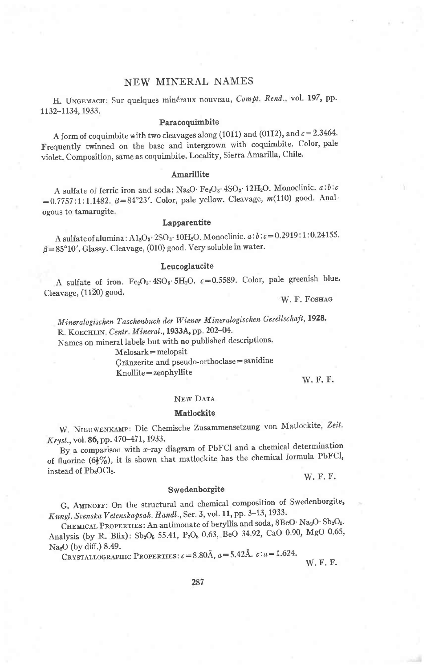# NEW MINERAL NAMES

H. UNGEMACH: Sur quelques minéraux nouveau, Compt. Rend., vol. 197, pp. 1132-1134, 1933.

#### Paracoquimbite

A form of coquimbite with two cleavages along (1011) and (0112), and  $c=2.3464$ . Frequently twinned on the base and intergrown with coquimbite. Color, pale violet. Composition, same as coquimbite. Locality, Sierra Amarilla, Chile'

## Amarillite

A sulfate of ferric iron and soda: Na<sub>2</sub>O·Fe<sub>2</sub>O<sub>3</sub>·4SO<sub>3</sub>·12H<sub>2</sub>O. Monoclinic.  $a:b:c$  $=0.7757:1:1.1482. \beta=84^{\circ}23'$ . Color, pale yellow. Cleavage, m(110) good. Analogous to tamarugite,

### **Lapparentite**

A sulfate of alumina:  $A1_2O_3$ .  $2SO_3$ . 10H<sub>2</sub>O. Monoclinic.  $a:b:c=0.2919:1:0.24155$ .  $\beta = 85^{\circ}10'$ . Glassy. Cleavage, (010) good. Very soluble in water.

## Leucoglaucite

A sulfate of iron.  $Fe<sub>2</sub>O<sub>3</sub>·4SO<sub>3</sub>·5H<sub>2</sub>O$ .  $c=0.5589$ . Color, pale greenish blue. Cleavage,  $(11\overline{2}0)$  good.

W. F. FOSHAG

Mineralogischen Taschenbuch der Wiener Mineralogischen Gesellschaft, 1928. R. KOECHLIN. Centr. Mineral., 1933A, pp. 202-04.

Names on mineral labels but with no published descriptions'

 $Melosark = *melopsit*$ 

Gränzerite and pseudo-orthoclase = sanidine Knollite=zeophyllite

w. F. F.

#### NEW DATA

#### Matlockite

W. NIEUWENKAMP: Die Chemische Zusammensetzung von Matlockite, Zeit. Kryst., vol. 86, pp. 470-471, 1933.

By a comparison with x-ray diagram of PbFCI and a chemical determination of fluorine  $(6\frac{1}{2}\%)$ , it is shown that matlockite has the chemical formula PbFCl, instead of Pb<sub>2</sub>OCl<sub>2</sub>.

W. F. F.

### Swedenborgite

G. AMINOFF: On the structural and chemical composition of Swedenborgite, Kungl. Svenska Vetenskapsak. Handl., Ser. 3, vol. 11, pp. 3-13, 1933.

CHEMICAL PROPERTIES: An antimonate of beryllia and soda,  $8BeO \cdot Na_2O \cdot Sb_2O_5$ . Analysis (by R. Blix): Sb<sub>2</sub>O<sub>5</sub> 55.41, P<sub>2</sub>O<sub>5</sub> 0.63, BeO 34.92, CaO 0.90, MgO 0.65,  $Na<sub>2</sub>O$  (by diff.) 8.49.

CRYSTALLOGRAPHIC PROPERTIES:  $c = 8.80$ Å,  $a = 5.42$ Å.  $c : a = 1.624$ .

w. F. F.